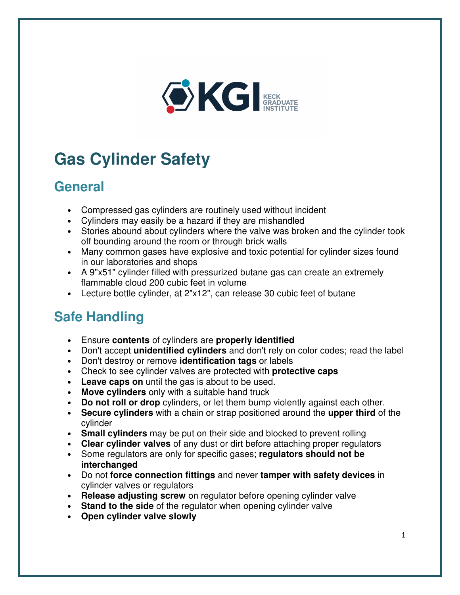

# **Gas Cylinder Safety**

### **General**

- Compressed gas cylinders are routinely used without incident
- Cylinders may easily be a hazard if they are mishandled
- Stories abound about cylinders where the valve was broken and the cylinder took off bounding around the room or through brick walls
- Many common gases have explosive and toxic potential for cylinder sizes found in our laboratories and shops
- A 9"x51" cylinder filled with pressurized butane gas can create an extremely flammable cloud 200 cubic feet in volume
- Lecture bottle cylinder, at 2"x12", can release 30 cubic feet of butane

## **Safe Handling**

- Ensure **contents** of cylinders are **properly identified**
- Don't accept **unidentified cylinders** and don't rely on color codes; read the label
- Don't destroy or remove **identification tags** or labels
- Check to see cylinder valves are protected with **protective caps**
- **Leave caps on** until the gas is about to be used.
- **Move cylinders** only with a suitable hand truck
- **Do not roll or drop** cylinders, or let them bump violently against each other.
- **Secure cylinders** with a chain or strap positioned around the **upper third** of the cylinder
- **Small cylinders** may be put on their side and blocked to prevent rolling
- **Clear cylinder valves** of any dust or dirt before attaching proper regulators
- Some regulators are only for specific gases; **regulators should not be interchanged**
- Do not **force connection fittings** and never **tamper with safety devices** in cylinder valves or regulators
- **Release adjusting screw** on regulator before opening cylinder valve
- **Stand to the side** of the regulator when opening cylinder valve
- **Open cylinder valve slowly**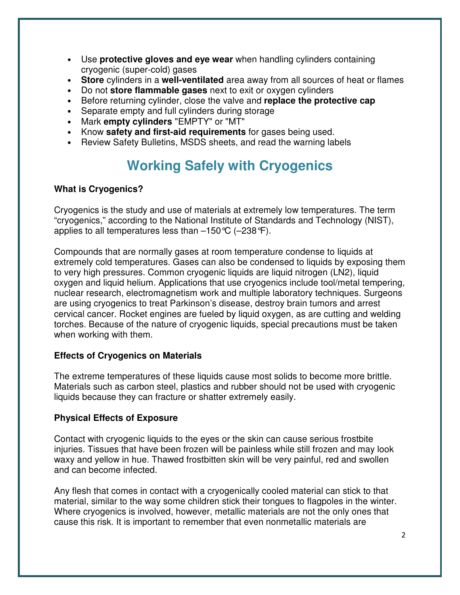- Use **protective gloves and eye wear** when handling cylinders containing cryogenic (super-cold) gases
- **Store** cylinders in a **well-ventilated** area away from all sources of heat or flames
- Do not **store flammable gases** next to exit or oxygen cylinders
- Before returning cylinder, close the valve and **replace the protective cap**
- Separate empty and full cylinders during storage
- Mark **empty cylinders** "EMPTY" or "MT"
- Know **safety and first-aid requirements** for gases being used.
- Review Safety Bulletins, MSDS sheets, and read the warning labels

### **Working Safely with Cryogenics**

#### **What is Cryogenics?**

Cryogenics is the study and use of materials at extremely low temperatures. The term "cryogenics," according to the National Institute of Standards and Technology (NIST), applies to all temperatures less than  $-150^{\circ}C$  ( $-238^{\circ}F$ ).

Compounds that are normally gases at room temperature condense to liquids at extremely cold temperatures. Gases can also be condensed to liquids by exposing them to very high pressures. Common cryogenic liquids are liquid nitrogen (LN2), liquid oxygen and liquid helium. Applications that use cryogenics include tool/metal tempering, nuclear research, electromagnetism work and multiple laboratory techniques. Surgeons are using cryogenics to treat Parkinson's disease, destroy brain tumors and arrest cervical cancer. Rocket engines are fueled by liquid oxygen, as are cutting and welding torches. Because of the nature of cryogenic liquids, special precautions must be taken when working with them.

#### **Effects of Cryogenics on Materials**

The extreme temperatures of these liquids cause most solids to become more brittle. Materials such as carbon steel, plastics and rubber should not be used with cryogenic liquids because they can fracture or shatter extremely easily.

#### **Physical Effects of Exposure**

Contact with cryogenic liquids to the eyes or the skin can cause serious frostbite injuries. Tissues that have been frozen will be painless while still frozen and may look waxy and yellow in hue. Thawed frostbitten skin will be very painful, red and swollen and can become infected.

Any flesh that comes in contact with a cryogenically cooled material can stick to that material, similar to the way some children stick their tongues to flagpoles in the winter. Where cryogenics is involved, however, metallic materials are not the only ones that cause this risk. It is important to remember that even nonmetallic materials are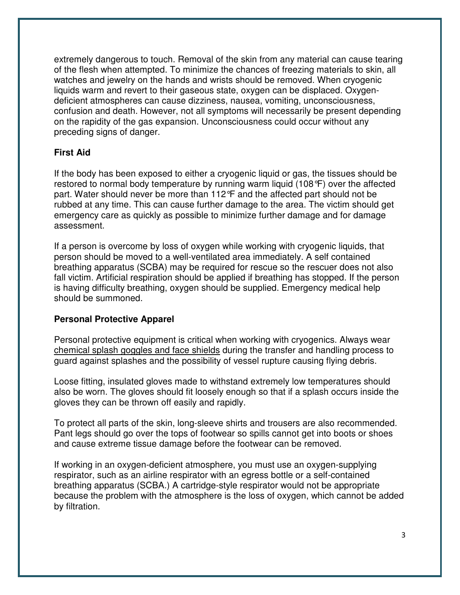extremely dangerous to touch. Removal of the skin from any material can cause tearing of the flesh when attempted. To minimize the chances of freezing materials to skin, all watches and jewelry on the hands and wrists should be removed. When cryogenic liquids warm and revert to their gaseous state, oxygen can be displaced. Oxygendeficient atmospheres can cause dizziness, nausea, vomiting, unconsciousness, confusion and death. However, not all symptoms will necessarily be present depending on the rapidity of the gas expansion. Unconsciousness could occur without any preceding signs of danger.

#### **First Aid**

If the body has been exposed to either a cryogenic liquid or gas, the tissues should be restored to normal body temperature by running warm liquid (108°F) over the affected part. Water should never be more than 112°F and the affected part should not be rubbed at any time. This can cause further damage to the area. The victim should get emergency care as quickly as possible to minimize further damage and for damage assessment.

If a person is overcome by loss of oxygen while working with cryogenic liquids, that person should be moved to a well-ventilated area immediately. A self contained breathing apparatus (SCBA) may be required for rescue so the rescuer does not also fall victim. Artificial respiration should be applied if breathing has stopped. If the person is having difficulty breathing, oxygen should be supplied. Emergency medical help should be summoned.

#### **Personal Protective Apparel**

Personal protective equipment is critical when working with cryogenics. Always wear chemical splash goggles and face shields during the transfer and handling process to guard against splashes and the possibility of vessel rupture causing flying debris.

Loose fitting, insulated gloves made to withstand extremely low temperatures should also be worn. The gloves should fit loosely enough so that if a splash occurs inside the gloves they can be thrown off easily and rapidly.

To protect all parts of the skin, long-sleeve shirts and trousers are also recommended. Pant legs should go over the tops of footwear so spills cannot get into boots or shoes and cause extreme tissue damage before the footwear can be removed.

If working in an oxygen-deficient atmosphere, you must use an oxygen-supplying respirator, such as an airline respirator with an egress bottle or a self-contained breathing apparatus (SCBA.) A cartridge-style respirator would not be appropriate because the problem with the atmosphere is the loss of oxygen, which cannot be added by filtration.